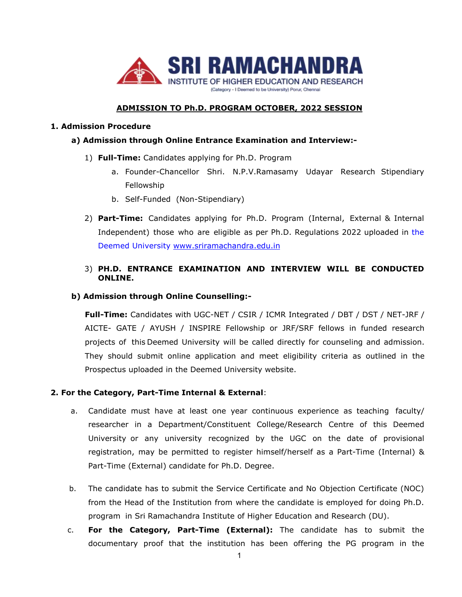

# **ADMISSION TO Ph.D. PROGRAM OCTOBER, 2022 SESSION**

#### **1. Admission Procedure**

### **a) Admission through Online Entrance Examination and Interview:-**

- 1) **Full-Time:** Candidates applying for Ph.D. Program
	- a. Founder-Chancellor Shri. N.P.V.Ramasamy Udayar Research Stipendiary Fellowship
	- b. Self-Funded (Non-Stipendiary)
- 2) **Part-Time:** Candidates applying for Ph.D. Program (Internal, External & Internal Independent) those who are eligible as per Ph.D. Regulations 2022 uploaded in the Deemed University [www.sriramachandra.edu.in](http://www.sriramachandra.edu.in/)

## 3) **PH.D. ENTRANCE EXAMINATION AND INTERVIEW WILL BE CONDUCTED ONLINE.**

## **b) Admission through Online Counselling:-**

**Full-Time:** Candidates with UGC-NET / CSIR / ICMR Integrated / DBT / DST / NET-JRF / AICTE- GATE / AYUSH / INSPIRE Fellowship or JRF/SRF fellows in funded research projects of this Deemed University will be called directly for counseling and admission. They should submit online application and meet eligibility criteria as outlined in the Prospectus uploaded in the Deemed University website.

#### **2. For the Category, Part-Time Internal & External**:

- a. Candidate must have at least one year continuous experience as teaching faculty/ researcher in a Department/Constituent College/Research Centre of this Deemed University or any university recognized by the UGC on the date of provisional registration, may be permitted to register himself/herself as a Part-Time (Internal) & Part-Time (External) candidate for Ph.D. Degree.
- b. The candidate has to submit the Service Certificate and No Objection Certificate (NOC) from the Head of the Institution from where the candidate is employed for doing Ph.D. program in Sri Ramachandra Institute of Higher Education and Research (DU).
- c. **For the Category, Part-Time (External):** The candidate has to submit the documentary proof that the institution has been offering the PG program in the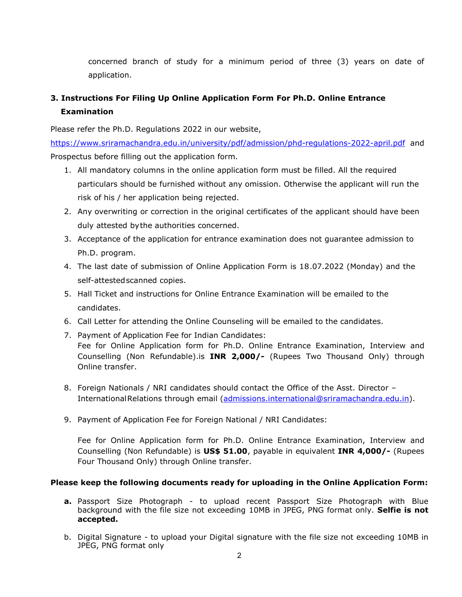concerned branch of study for a minimum period of three (3) years on date of application.

# **3. Instructions For Filing Up Online Application Form For Ph.D. Online Entrance Examination**

Please refer the Ph.D. Regulations 2022 in our website,

<https://www.sriramachandra.edu.in/university/pdf/admission/phd-regulations-2022-april.pdf> and Prospectus before filling out the application form.

- 1. All mandatory columns in the online application form must be filled. All the required particulars should be furnished without any omission. Otherwise the applicant will run the risk of his / her application being rejected.
- 2. Any overwriting or correction in the original certificates of the applicant should have been duly attested bythe authorities concerned.
- 3. Acceptance of the application for entrance examination does not guarantee admission to Ph.D. program.
- 4. The last date of submission of Online Application Form is 18.07.2022 (Monday) and the self-attestedscanned copies.
- 5. Hall Ticket and instructions for Online Entrance Examination will be emailed to the candidates.
- 6. Call Letter for attending the Online Counseling will be emailed to the candidates.
- 7. Payment of Application Fee for Indian Candidates: Fee for Online Application form for Ph.D. Online Entrance Examination, Interview and Counselling (Non Refundable).is **INR 2,000/-** (Rupees Two Thousand Only) through Online transfer.
- 8. Foreign Nationals / NRI candidates should contact the Office of the Asst. Director -InternationalRelations through email [\(admissions.international@sriramachandra.edu.in](mailto:admissions.international@sriramachandra.edu.in)).
- 9. Payment of Application Fee for Foreign National / NRI Candidates:

Fee for Online Application form for Ph.D. Online Entrance Examination, Interview and Counselling (Non Refundable) is **US\$ 51.00**, payable in equivalent **INR 4,000/-** (Rupees Four Thousand Only) through Online transfer.

## **Please keep the following documents ready for uploading in the Online Application Form:**

- **a.** Passport Size Photograph to upload recent Passport Size Photograph with Blue background with the file size not exceeding 10MB in JPEG, PNG format only. Selfie is not **accepted.**
- b. Digital Signature to upload your Digital signature with the file size not exceeding 10MB in JPEG, PNG format only